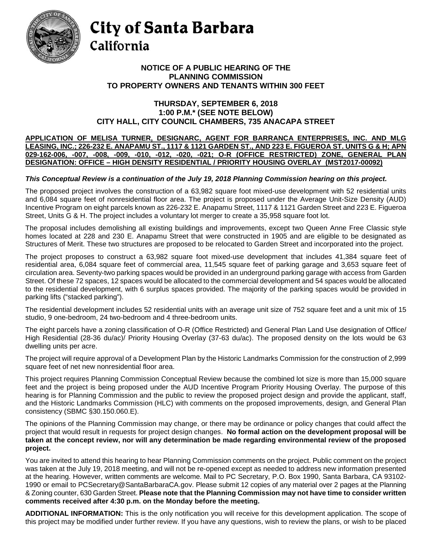

# City of Santa Barbara California

### **NOTICE OF A PUBLIC HEARING OF THE PLANNING COMMISSION TO PROPERTY OWNERS AND TENANTS WITHIN 300 FEET**

#### **THURSDAY, SEPTEMBER 6, 2018 1:00 P.M.\* (SEE NOTE BELOW) CITY HALL, CITY COUNCIL CHAMBERS, 735 ANACAPA STREET**

#### **APPLICATION OF MELISA TURNER, DESIGNARC, AGENT FOR BARRANCA ENTERPRISES, INC. AND MLG LEASING, INC.; 226-232 E. ANAPAMU ST., 1117 & 1121 GARDEN ST., AND 223 E. FIGUEROA ST. UNITS G & H; APN 029-162-006, -007, -008, -009, -010, -012, -020, -021; O-R (OFFICE RESTRICTED) ZONE, GENERAL PLAN DESIGNATION: OFFICE – HIGH DENSITY RESIDENTIAL / PRIORITY HOUSING OVERLAY (MST2017-00092)**

## *This Conceptual Review is a continuation of the July 19, 2018 Planning Commission hearing on this project.*

The proposed project involves the construction of a 63,982 square foot mixed-use development with 52 residential units and 6,084 square feet of nonresidential floor area. The project is proposed under the Average Unit-Size Density (AUD) Incentive Program on eight parcels known as 226-232 E. Anapamu Street, 1117 & 1121 Garden Street and 223 E. Figueroa Street, Units G & H. The project includes a voluntary lot merger to create a 35,958 square foot lot.

The proposal includes demolishing all existing buildings and improvements, except two Queen Anne Free Classic style homes located at 228 and 230 E. Anapamu Street that were constructed in 1905 and are eligible to be designated as Structures of Merit. These two structures are proposed to be relocated to Garden Street and incorporated into the project.

The project proposes to construct a 63,982 square foot mixed-use development that includes 41,384 square feet of residential area, 6,084 square feet of commercial area, 11,545 square feet of parking garage and 3,653 square feet of circulation area. Seventy-two parking spaces would be provided in an underground parking garage with access from Garden Street. Of these 72 spaces, 12 spaces would be allocated to the commercial development and 54 spaces would be allocated to the residential development, with 6 surplus spaces provided. The majority of the parking spaces would be provided in parking lifts ("stacked parking").

The residential development includes 52 residential units with an average unit size of 752 square feet and a unit mix of 15 studio, 9 one-bedroom, 24 two-bedroom and 4 three-bedroom units.

The eight parcels have a zoning classification of O-R (Office Restricted) and General Plan Land Use designation of Office/ High Residential (28-36 du/ac)/ Priority Housing Overlay (37-63 du/ac). The proposed density on the lots would be 63 dwelling units per acre.

The project will require approval of a Development Plan by the Historic Landmarks Commission for the construction of 2,999 square feet of net new nonresidential floor area.

This project requires Planning Commission Conceptual Review because the combined lot size is more than 15,000 square feet and the project is being proposed under the AUD Incentive Program Priority Housing Overlay. The purpose of this hearing is for Planning Commission and the public to review the proposed project design and provide the applicant, staff, and the Historic Landmarks Commission (HLC) with comments on the proposed improvements, design, and General Plan consistency (SBMC §30.150.060.E).

The opinions of the Planning Commission may change, or there may be ordinance or policy changes that could affect the project that would result in requests for project design changes. **No formal action on the development proposal will be taken at the concept review, nor will any determination be made regarding environmental review of the proposed project.**

You are invited to attend this hearing to hear Planning Commission comments on the project. Public comment on the project was taken at the July 19, 2018 meeting, and will not be re-opened except as needed to address new information presented at the hearing. However, written comments are welcome. Mail to PC Secretary, P.O. Box 1990, Santa Barbara, CA 93102- 1990 or email to [PCSecretary@SantaBarbaraCA.gov.](mailto:PCSecretary@SantaBarbaraCA.gov) Please submit 12 copies of any material over 2 pages at the Planning & Zoning counter, 630 Garden Street. **Please note that the Planning Commission may not have time to consider written comments received after 4:30 p.m. on the Monday before the meeting.**

**ADDITIONAL INFORMATION:** This is the only notification you will receive for this development application. The scope of this project may be modified under further review. If you have any questions, wish to review the plans, or wish to be placed